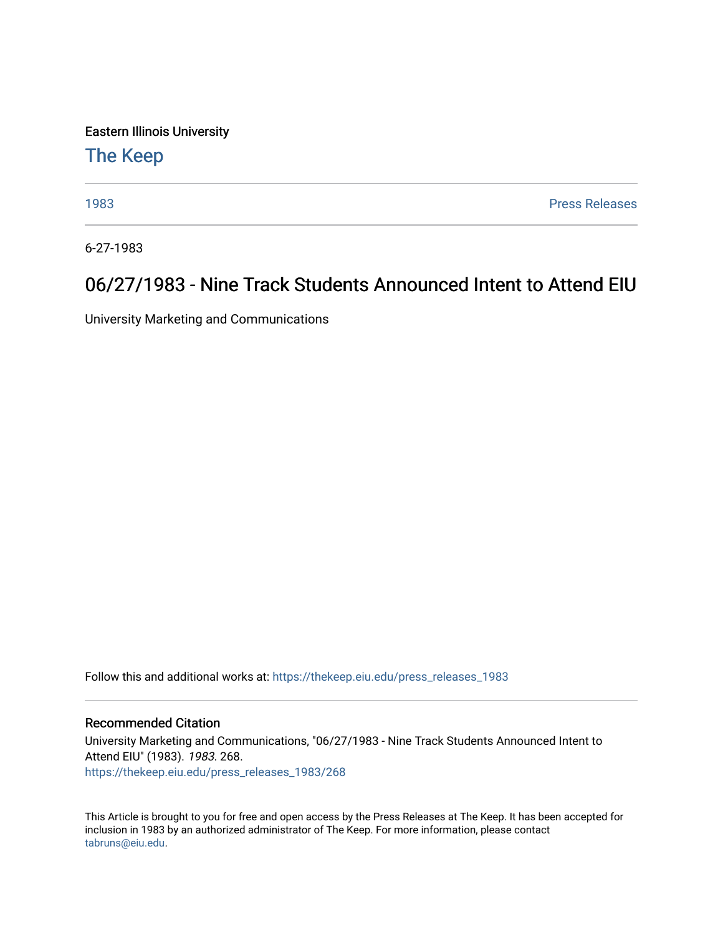Eastern Illinois University

## [The Keep](https://thekeep.eiu.edu/)

[1983](https://thekeep.eiu.edu/press_releases_1983) [Press Releases](https://thekeep.eiu.edu/press_releases_collection) 

6-27-1983

## 06/27/1983 - Nine Track Students Announced Intent to Attend EIU

University Marketing and Communications

Follow this and additional works at: [https://thekeep.eiu.edu/press\\_releases\\_1983](https://thekeep.eiu.edu/press_releases_1983?utm_source=thekeep.eiu.edu%2Fpress_releases_1983%2F268&utm_medium=PDF&utm_campaign=PDFCoverPages) 

## Recommended Citation

University Marketing and Communications, "06/27/1983 - Nine Track Students Announced Intent to Attend EIU" (1983). 1983. 268. [https://thekeep.eiu.edu/press\\_releases\\_1983/268](https://thekeep.eiu.edu/press_releases_1983/268?utm_source=thekeep.eiu.edu%2Fpress_releases_1983%2F268&utm_medium=PDF&utm_campaign=PDFCoverPages) 

This Article is brought to you for free and open access by the Press Releases at The Keep. It has been accepted for inclusion in 1983 by an authorized administrator of The Keep. For more information, please contact [tabruns@eiu.edu.](mailto:tabruns@eiu.edu)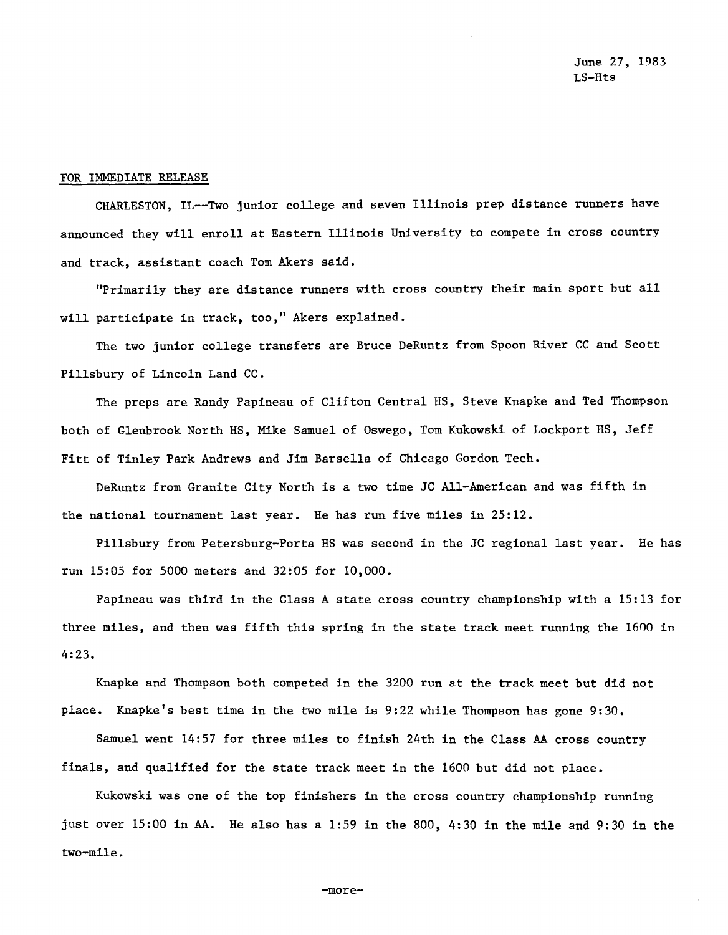## FOR IMMEDIATE RELEASE

CHARLESTON, IL--Two junior college and seven Illinois prep distance runners have announced they will enroll at Eastern Illinois University to compete in cross country and track, assistant coach Tom Akers said.

"Primarily they are distance runners with cross country their main sport but all will participate in track, too," Akers explained.

The two junior college transfers are Bruce DeRuntz from Spoon River CC and Scott Pillsbury of Lincoln Land CC.

The preps are Randy Papineau of Clifton Central HS, Steve Knapke and Ted Thompson both of Glenbrook North HS, Mike Samuel of Oswego, Tom Kukowski of Lockport HS, Jeff Fitt of Tinley Park Andrews and Jim Barsella of Chicago Gordon Tech.

DeRuntz from Granite City North is a two time JC All-American and was fifth in the national tournament last year. He has run five miles in 25:12.

Pillsbury from Petersburg-Porta HS was second in the JC regional last year. He has run 15:05 for 5000 meters and 32:05 for 10,000.

Papineau was third in the Class A state cross country championship with a 15:13 for three miles, and then was fifth this spring in the state track meet running the 1600 in 4:23.

Knapke and Thompson both competed in the 3200 run at the track meet but did not place. Knapke's best time in the two mile is 9:22 while Thompson has gone 9:30.

Samuel went 14:57 for three miles to finish 24th in the Class AA cross country finals, and qualified for the state track meet in the 1600 but did not place.

Kukowski was one of the top finishers in the cross country championship running just over 15:00 in AA. He also has a 1:59 in the 800, 4:30 in the mile and 9:30 in the two-mile.